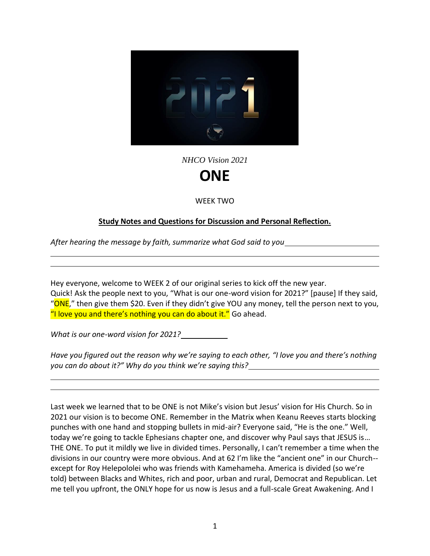

*NHCO Vision 2021*

## **ONE**

WEEK TWO

## **Study Notes and Questions for Discussion and Personal Reflection.**

*After hearing the message by faith, summarize what God said to you*

Hey everyone, welcome to WEEK 2 of our original series to kick off the new year. Quick! Ask the people next to you, "What is our one-word vision for 2021?" [pause] If they said, "ONE," then give them \$20. Even if they didn't give YOU any money, tell the person next to you, "I love you and there's nothing you can do about it." Go ahead.

*What is our one-word vision for 2021?*

*Have you figured out the reason why we're saying to each other, "I love you and there's nothing you can do about it?" Why do you think we're saying this?*

Last week we learned that to be ONE is not Mike's vision but Jesus' vision for His Church. So in 2021 our vision is to become ONE. Remember in the Matrix when Keanu Reeves starts blocking punches with one hand and stopping bullets in mid-air? Everyone said, "He is the one." Well, today we're going to tackle Ephesians chapter one, and discover why Paul says that JESUS is… THE ONE. To put it mildly we live in divided times. Personally, I can't remember a time when the divisions in our country were more obvious. And at 62 I'm like the "ancient one" in our Church- except for Roy Helepololei who was friends with Kamehameha. America is divided (so we're told) between Blacks and Whites, rich and poor, urban and rural, Democrat and Republican. Let me tell you upfront, the ONLY hope for us now is Jesus and a full-scale Great Awakening. And I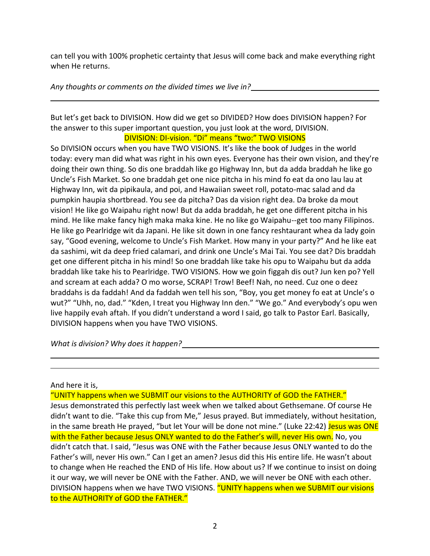can tell you with 100% prophetic certainty that Jesus will come back and make everything right when He returns.

*Any thoughts or comments on the divided times we live in?*

But let's get back to DIVISION. How did we get so DIVIDED? How does DIVISION happen? For the answer to this super important question, you just look at the word, DIVISION. DIVISION: DI-vision. "Di" means "two:" TWO VISIONS

So DIVISION occurs when you have TWO VISIONS. It's like the book of Judges in the world today: every man did what was right in his own eyes. Everyone has their own vision, and they're doing their own thing. So dis one braddah like go Highway Inn, but da adda braddah he like go Uncle's Fish Market. So one braddah get one nice pitcha in his mind fo eat da ono lau lau at Highway Inn, wit da pipikaula, and poi, and Hawaiian sweet roll, potato-mac salad and da pumpkin haupia shortbread. You see da pitcha? Das da vision right dea. Da broke da mout vision! He like go Waipahu right now! But da adda braddah, he get one different pitcha in his mind. He like make fancy high maka maka kine. He no like go Waipahu--get too many Filipinos. He like go Pearlridge wit da Japani. He like sit down in one fancy reshtaurant whea da lady goin say, "Good evening, welcome to Uncle's Fish Market. How many in your party?" And he like eat da sashimi, wit da deep fried calamari, and drink one Uncle's Mai Tai. You see dat? Dis braddah get one different pitcha in his mind! So one braddah like take his opu to Waipahu but da adda braddah like take his to Pearlridge. TWO VISIONS. How we goin figgah dis out? Jun ken po? Yell and scream at each adda? O mo worse, SCRAP! Trow! Beef! Nah, no need. Cuz one o deez braddahs is da faddah! And da faddah wen tell his son, "Boy, you get money fo eat at Uncle's o wut?" "Uhh, no, dad." "Kden, I treat you Highway Inn den." "We go." And everybody's opu wen live happily evah aftah. If you didn't understand a word I said, go talk to Pastor Earl. Basically, DIVISION happens when you have TWO VISIONS.

*What is division? Why does it happen?*

## And here it is,

"UNITY happens when we SUBMIT our visions to the AUTHORITY of GOD the FATHER."

Jesus demonstrated this perfectly last week when we talked about Gethsemane. Of course He didn't want to die. "Take this cup from Me," Jesus prayed. But immediately, without hesitation, in the same breath He prayed, "but let Your will be done not mine." (Luke 22:42) Jesus was ONE with the Father because Jesus ONLY wanted to do the Father's will, never His own. No, you didn't catch that. I said, "Jesus was ONE with the Father because Jesus ONLY wanted to do the Father's will, never His own." Can I get an amen? Jesus did this His entire life. He wasn't about to change when He reached the END of His life. How about us? If we continue to insist on doing it our way, we will never be ONE with the Father. AND, we will never be ONE with each other. DIVISION happens when we have TWO VISIONS. "UNITY happens when we SUBMIT our visions to the AUTHORITY of GOD the FATHER."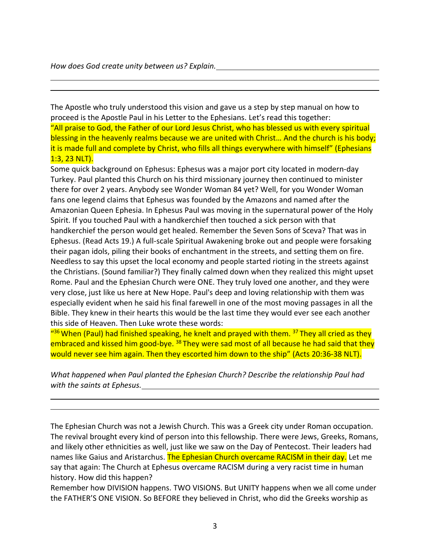The Apostle who truly understood this vision and gave us a step by step manual on how to proceed is the Apostle Paul in his Letter to the Ephesians. Let's read this together: "All praise to God, the Father of our Lord Jesus Christ, who has blessed us with every spiritual blessing in the heavenly realms because we are united with Christ... And the church is his body; it is made full and complete by Christ, who fills all things everywhere with himself" (Ephesians 1:3, 23 NLT).

Some quick background on Ephesus: Ephesus was a major port city located in modern-day Turkey. Paul planted this Church on his third missionary journey then continued to minister there for over 2 years. Anybody see Wonder Woman 84 yet? Well, for you Wonder Woman fans one legend claims that Ephesus was founded by the Amazons and named after the Amazonian Queen Ephesia. In Ephesus Paul was moving in the supernatural power of the Holy Spirit. If you touched Paul with a handkerchief then touched a sick person with that handkerchief the person would get healed. Remember the Seven Sons of Sceva? That was in Ephesus. (Read Acts 19.) A full-scale Spiritual Awakening broke out and people were forsaking their pagan idols, piling their books of enchantment in the streets, and setting them on fire. Needless to say this upset the local economy and people started rioting in the streets against the Christians. (Sound familiar?) They finally calmed down when they realized this might upset Rome. Paul and the Ephesian Church were ONE. They truly loved one another, and they were very close, just like us here at New Hope. Paul's deep and loving relationship with them was especially evident when he said his final farewell in one of the most moving passages in all the Bible. They knew in their hearts this would be the last time they would ever see each another this side of Heaven. Then Luke wrote these words:

"<sup>36</sup> When (Paul) had finished speaking, he knelt and prayed with them. <sup>37</sup> They all cried as they embraced and kissed him good-bye. <sup>38</sup> They were sad most of all because he had said that they would never see him again. Then they escorted him down to the ship" (Acts 20:36-38 NLT).

*What happened when Paul planted the Ephesian Church? Describe the relationship Paul had with the saints at Ephesus.*

The Ephesian Church was not a Jewish Church. This was a Greek city under Roman occupation. The revival brought every kind of person into this fellowship. There were Jews, Greeks, Romans, and likely other ethnicities as well, just like we saw on the Day of Pentecost. Their leaders had names like Gaius and Aristarchus. The Ephesian Church overcame RACISM in their day. Let me say that again: The Church at Ephesus overcame RACISM during a very racist time in human history. How did this happen?

Remember how DIVISION happens. TWO VISIONS. But UNITY happens when we all come under the FATHER'S ONE VISION. So BEFORE they believed in Christ, who did the Greeks worship as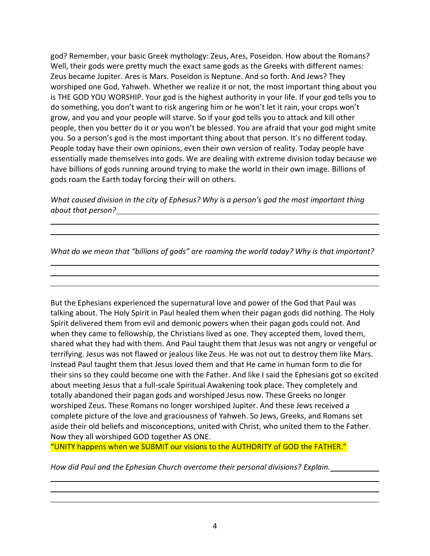god? Remember, your basic Greek mythology: Zeus, Ares, Poseidon. How about the Romans? Well, their gods were pretty much the exact same gods as the Greeks with different names: Zeus became Jupiter. Ares is Mars. Poseidon is Neptune. And so forth. And Jews? They worshiped one God, Yahweh. Whether we realize it or not, the most important thing about you is THE GOD YOU WORSHIP. Your god is the highest authority in your life. If your god tells you to do something, you don't want to risk angering him or he won't let it rain, your crops won't grow, and you and your people will starve. So if your god tells you to attack and kill other people, then you better do it or you won't be blessed. You are afraid that your god might smite you. So a person's god is the most important thing about that person. It's no different today. People today have their own opinions, even their own version of reality. Today people have essentially made themselves into gods. We are dealing with extreme division today because we have billions of gods running around trying to make the world in their own image. Billions of gods roam the Earth today forcing their will on others.

*What caused division in the city of Ephesus? Why is a person's god the most important thing about that person?*

*What do we mean that "billions of gods" are roaming the world today? Why is that important?*

But the Ephesians experienced the supernatural love and power of the God that Paul was talking about. The Holy Spirit in Paul healed them when their pagan gods did nothing. The Holy Spirit delivered them from evil and demonic powers when their pagan gods could not. And when they came to fellowship, the Christians lived as one. They accepted them, loved them, shared what they had with them. And Paul taught them that Jesus was not angry or vengeful or terrifying. Jesus was not flawed or jealous like Zeus. He was not out to destroy them like Mars. Instead Paul taught them that Jesus loved them and that He came in human form to die for their sins so they could become one with the Father. And like I said the Ephesians got so excited about meeting Jesus that a full-scale Spiritual Awakening took place. They completely and totally abandoned their pagan gods and worshiped Jesus now. These Greeks no longer worshiped Zeus. These Romans no longer worshiped Jupiter. And these Jews received a complete picture of the love and graciousness of Yahweh. So Jews, Greeks, and Romans set aside their old beliefs and misconceptions, united with Christ, who united them to the Father. Now they all worshiped GOD together AS ONE.

"UNITY happens when we SUBMIT our visions to the AUTHORITY of GOD the FATHER."

*How did Paul and the Ephesian Church overcome their personal divisions? Explain.*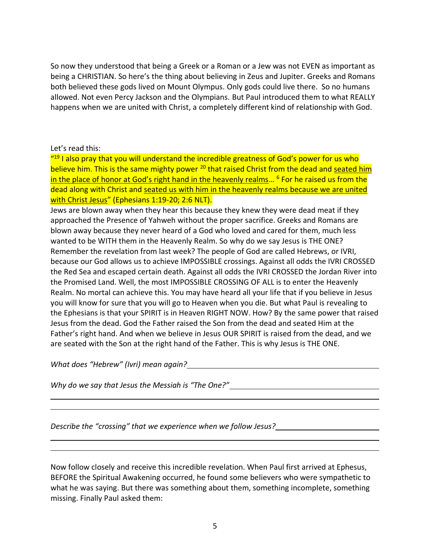So now they understood that being a Greek or a Roman or a Jew was not EVEN as important as being a CHRISTIAN. So here's the thing about believing in Zeus and Jupiter. Greeks and Romans both believed these gods lived on Mount Olympus. Only gods could live there. So no humans allowed. Not even Percy Jackson and the Olympians. But Paul introduced them to what REALLY happens when we are united with Christ, a completely different kind of relationship with God.

## Let's read this:

"<sup>19</sup> I also pray that you will understand the incredible greatness of God's power for us who believe him. This is the same mighty power <sup>20</sup> that raised Christ from the dead and seated him in the place of honor at God's right hand in the heavenly realms... <sup>6</sup> For he raised us from the dead along with Christ and seated us with him in the heavenly realms because we are united with Christ Jesus" (Ephesians 1:19-20; 2:6 NLT).

Jews are blown away when they hear this because they knew they were dead meat if they approached the Presence of Yahweh without the proper sacrifice. Greeks and Romans are blown away because they never heard of a God who loved and cared for them, much less wanted to be WITH them in the Heavenly Realm. So why do we say Jesus is THE ONE? Remember the revelation from last week? The people of God are called Hebrews, or IVRI, because our God allows us to achieve IMPOSSIBLE crossings. Against all odds the IVRI CROSSED the Red Sea and escaped certain death. Against all odds the IVRI CROSSED the Jordan River into the Promised Land. Well, the most IMPOSSIBLE CROSSING OF ALL is to enter the Heavenly Realm. No mortal can achieve this. You may have heard all your life that if you believe in Jesus you will know for sure that you will go to Heaven when you die. But what Paul is revealing to the Ephesians is that your SPIRIT is in Heaven RIGHT NOW. How? By the same power that raised Jesus from the dead. God the Father raised the Son from the dead and seated Him at the Father's right hand. And when we believe in Jesus OUR SPIRIT is raised from the dead, and we are seated with the Son at the right hand of the Father. This is why Jesus is THE ONE.

*What does "Hebrew" (Ivri) mean again?*

*Why do we say that Jesus the Messiah is "The One?"*

*Describe the "crossing" that we experience when we follow Jesus?*

Now follow closely and receive this incredible revelation. When Paul first arrived at Ephesus, BEFORE the Spiritual Awakening occurred, he found some believers who were sympathetic to what he was saying. But there was something about them, something incomplete, something missing. Finally Paul asked them: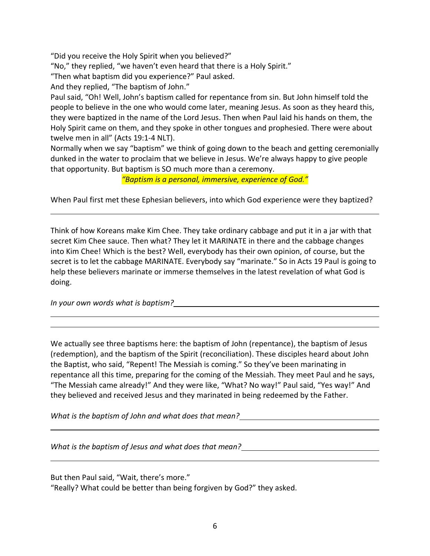"Did you receive the Holy Spirit when you believed?"

"No," they replied, "we haven't even heard that there is a Holy Spirit."

"Then what baptism did you experience?" Paul asked.

And they replied, "The baptism of John."

Paul said, "Oh! Well, John's baptism called for repentance from sin. But John himself told the people to believe in the one who would come later, meaning Jesus. As soon as they heard this, they were baptized in the name of the Lord Jesus. Then when Paul laid his hands on them, the Holy Spirit came on them, and they spoke in other tongues and prophesied. There were about twelve men in all" (Acts 19:1-4 NLT).

Normally when we say "baptism" we think of going down to the beach and getting ceremonially dunked in the water to proclaim that we believe in Jesus. We're always happy to give people that opportunity. But baptism is SO much more than a ceremony.

*"Baptism is a personal, immersive, experience of God."*

When Paul first met these Ephesian believers, into which God experience were they baptized?

Think of how Koreans make Kim Chee. They take ordinary cabbage and put it in a jar with that secret Kim Chee sauce. Then what? They let it MARINATE in there and the cabbage changes into Kim Chee! Which is the best? Well, everybody has their own opinion, of course, but the secret is to let the cabbage MARINATE. Everybody say "marinate." So in Acts 19 Paul is going to help these believers marinate or immerse themselves in the latest revelation of what God is doing.

*In your own words what is baptism?*

We actually see three baptisms here: the baptism of John (repentance), the baptism of Jesus (redemption), and the baptism of the Spirit (reconciliation). These disciples heard about John the Baptist, who said, "Repent! The Messiah is coming." So they've been marinating in repentance all this time, preparing for the coming of the Messiah. They meet Paul and he says, "The Messiah came already!" And they were like, "What? No way!" Paul said, "Yes way!" And they believed and received Jesus and they marinated in being redeemed by the Father.

*What is the baptism of John and what does that mean?*

*What is the baptism of Jesus and what does that mean?*

But then Paul said, "Wait, there's more."

"Really? What could be better than being forgiven by God?" they asked.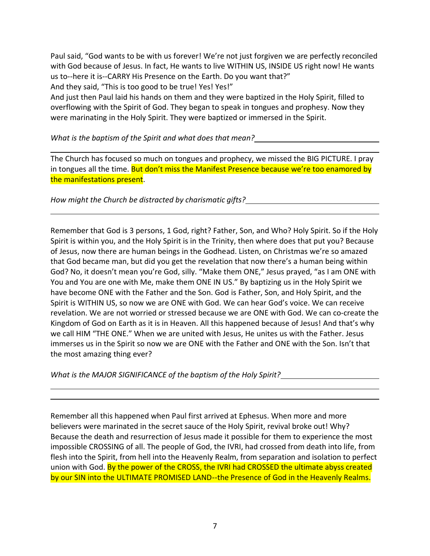Paul said, "God wants to be with us forever! We're not just forgiven we are perfectly reconciled with God because of Jesus. In fact, He wants to live WITHIN US, INSIDE US right now! He wants us to--here it is--CARRY His Presence on the Earth. Do you want that?" And they said, "This is too good to be true! Yes! Yes!"

And just then Paul laid his hands on them and they were baptized in the Holy Spirit, filled to overflowing with the Spirit of God. They began to speak in tongues and prophesy. Now they were marinating in the Holy Spirit. They were baptized or immersed in the Spirit.

*What is the baptism of the Spirit and what does that mean?*

The Church has focused so much on tongues and prophecy, we missed the BIG PICTURE. I pray in tongues all the time. But don't miss the Manifest Presence because we're too enamored by the manifestations present.

*How might the Church be distracted by charismatic gifts?*

Remember that God is 3 persons, 1 God, right? Father, Son, and Who? Holy Spirit. So if the Holy Spirit is within you, and the Holy Spirit is in the Trinity, then where does that put you? Because of Jesus, now there are human beings in the Godhead. Listen, on Christmas we're so amazed that God became man, but did you get the revelation that now there's a human being within God? No, it doesn't mean you're God, silly. "Make them ONE," Jesus prayed, "as I am ONE with You and You are one with Me, make them ONE IN US." By baptizing us in the Holy Spirit we have become ONE with the Father and the Son. God is Father, Son, and Holy Spirit, and the Spirit is WITHIN US, so now we are ONE with God. We can hear God's voice. We can receive revelation. We are not worried or stressed because we are ONE with God. We can co-create the Kingdom of God on Earth as it is in Heaven. All this happened because of Jesus! And that's why we call HIM "THE ONE." When we are united with Jesus, He unites us with the Father. Jesus immerses us in the Spirit so now we are ONE with the Father and ONE with the Son. Isn't that the most amazing thing ever?

*What is the MAJOR SIGNIFICANCE of the baptism of the Holy Spirit?*

Remember all this happened when Paul first arrived at Ephesus. When more and more believers were marinated in the secret sauce of the Holy Spirit, revival broke out! Why? Because the death and resurrection of Jesus made it possible for them to experience the most impossible CROSSING of all. The people of God, the IVRI, had crossed from death into life, from flesh into the Spirit, from hell into the Heavenly Realm, from separation and isolation to perfect union with God. By the power of the CROSS, the IVRI had CROSSED the ultimate abyss created by our SIN into the ULTIMATE PROMISED LAND--the Presence of God in the Heavenly Realms.